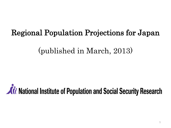# Regional Population Projections for Japan

## (published in March, 2013)

# **At National Institute of Population and Social Security Research**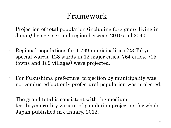# Framework

- Projection of total population (including foreigners living in Japan) by age, sex and region between 2010 and 2040.
- Regional populations for 1,799 municipalities (23 Tokyo special wards, 128 wards in 12 major cities, 764 cities, 715 towns and 169 villages) were projected.
- For Fukushima prefecture, projection by municipality was not conducted but only prefectural population was projected.
- The grand total is consistent with the medium fertility/mortality variant of population projection for whole Japan published in January, 2012.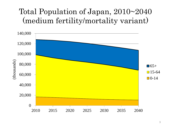# Total Population of Japan, 2010~2040 (medium fertility/mortality variant)

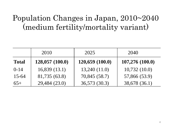# Population Changes in Japan, 2010~2040 (medium fertility/mortality variant)

|              | 2010            | 2025           | 2040            |
|--------------|-----------------|----------------|-----------------|
| <b>Total</b> | 128,057 (100.0) | 120,659(100.0) | 107,276 (100.0) |
| $0 - 14$     | 16,839(13.1)    | 13,240(11.0)   | 10,732(10.0)    |
| $15-64$      | 81,735 (63.8)   | 70,845 (58.7)  | 57,866 (53.9)   |
| $65+$        | 29,484 (23.0)   | 36,573 (30.3)  | 38,678 (36.1)   |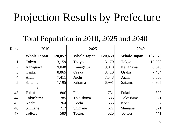# Projection Results by Prefecture

#### Total Population in 2010, 2025 and 2040

| Rank           | 2010               |         | 2025               |         | 2040               |         |
|----------------|--------------------|---------|--------------------|---------|--------------------|---------|
|                | <b>Whole Japan</b> | 128,057 | <b>Whole Japan</b> | 120,659 | <b>Whole Japan</b> | 107,276 |
|                | Tokyo              | 13,159  | <b>Tokyo</b>       | 13,179  | <b>Tokyo</b>       | 12,308  |
| $\overline{2}$ | Kanagawa           | 9,048   | Kanagawa           | 9,010   | Kanagawa           | 8,343   |
| 3              | Osaka              | 8,865   | Osaka              | 8,410   | Osaka              | 7,454   |
| $\overline{4}$ | Aichi              | 7,411   | Aichi              | 7,348   | Aichi              | 6,856   |
| 5              | Saitama            | 7,195   | Saitama            | 6,991   | Saitama            | 6,305   |
|                |                    |         |                    |         |                    |         |
| 43             | Fukui              | 806     | Fukui              | 731     | Fukui              | 633     |
| 44             | Tokushima          | 785     | Tokushima          | 686     | Tokushima          | 571     |
| 45             | Kochi              | 764     | Kochi              | 655     | Kochi              | 537     |
| 46             | Shimane            | 717     | Shimane            | 622     | Shimane            | 521     |
| 47             | <b>Tottori</b>     | 589     | Tottori            | 520     | Tottori            | 441     |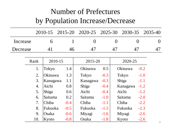# Number of Prefectures by Population Increase/Decrease

|          |      | 2010-15  | 2015-20 |                |        | 2020-25 2025-30 2030-35 |          | 2035-40  |
|----------|------|----------|---------|----------------|--------|-------------------------|----------|----------|
| Increase |      | 6        |         | $\overline{0}$ |        | $\theta$                | $\theta$ | $\theta$ |
| Decrease |      | 41       | 46      | 47             |        | 47                      | 47       | 47       |
|          | Rank | 2010-15  |         | 2015-20        |        | 2020-25                 |          |          |
|          | 1.   | Tokyo    | 1.4     | Okinawa        | 0.5    | Okinawa                 | $-0.2$   |          |
|          | 2.   | Okinawa  | 1.3     | Tokyo          | $-0.3$ | Tokyo                   | $-1.0$   |          |
|          | 3.   | Kanagawa | 1.1     | Kanagawa       | $-0.3$ | Shiga                   | $-1.1$   |          |
|          | 4.   | Aichi    | 0.8     | Shiga          | $-0.4$ | Kanagawa                | $-1.2$   |          |
|          | 5.   | Shiga    | 0.6     | Aichi          | $-0.4$ | Aichi                   | $-1.2$   |          |
|          | 6.   | Saitama  | 0.2     | Saitama        | $-1.0$ | Saitama                 | $-2.0$   |          |
|          | 7.   | Chiba    | $-0.4$  | Chiba          | $-1.1$ | Chiba                   | $-2.2$   |          |
|          | 8.   | Fukuoka  | $-0.5$  | Fukuoka        | $-1.5$ | Fukuoka                 | $-2.3$   |          |
|          | 9.   | Osaka    | $-0.6$  | Miyagi         | $-1.6$ | Miyagi                  | $-2.6$   |          |
|          | 10.  | Kyoto    | $-0.8$  | Osaka          | $-1.8$ | Kyoto                   | $-2.6$   |          |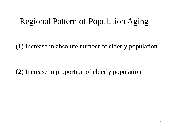# Regional Pattern of Population Aging

(1) Increase in absolute number of elderly population

(2) Increase in proportion of elderly population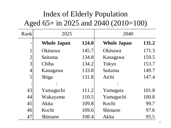# Index of Elderly Population Aged 65+ in 2025 and 2040 (2010=100)

| Rank           | 2025               |       | 2040               |       |
|----------------|--------------------|-------|--------------------|-------|
|                | <b>Whole Japan</b> | 124.0 | <b>Whole Japan</b> | 131.2 |
|                | Okinawa            | 145.7 | Okinawa            | 171.3 |
| $\overline{2}$ | Saitama            | 134.8 | Kanagawa           | 159.5 |
| 3              | Chiba              | 134.2 | Tokyo              | 153.7 |
| $\overline{4}$ | Kanagawa           | 133.8 | Saitama            | 149.7 |
| 5              | Shiga              | 131.8 | Aichi              | 147.4 |
|                |                    |       |                    |       |
| 43             | Yamaguchi          | 111.2 | Yamagata           | 101.8 |
| 44             | Wakayama           | 110.5 | Yamaguchi          | 100.8 |
| 45             | Akita              | 109.8 | Kochi              | 99.7  |
| 46             | Kochi              | 109.6 | Shimane            | 97.6  |
| 47             | Shimane            | 108.4 | Akita              | 95.5  |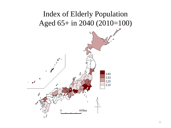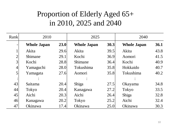# Proportion of Elderly Aged 65+ in 2010, 2025 and 2040

| Rank           | 2010               |      | 2025               |      | 2040               |      |
|----------------|--------------------|------|--------------------|------|--------------------|------|
|                | <b>Whole Japan</b> | 23.0 | <b>Whole Japan</b> | 30.3 | <b>Whole Japan</b> | 36.1 |
| 1              | Akita              | 29.6 | Akita              | 39.5 | Akita              | 43.8 |
| $\overline{2}$ | Shimane            | 29.1 | Kochi              | 36.9 | Aomori             | 41.5 |
| 3              | Kochi              | 28.8 | Shimane            | 36.4 | Kochi              | 40.9 |
| 4              | Yamaguchi          | 28.0 | Tokushima          | 35.8 | Hokkaido           | 40.7 |
| 5              | Yamagata           | 27.6 | Aomori             | 35.8 | Tokushima          | 40.2 |
|                |                    |      |                    |      |                    |      |
| 43             | Saitama            | 20.4 | Shiga              | 27.5 | Okayama            | 34.8 |
| 44             | Tokyo              | 20.4 | Kanagawa           | 27.2 | <b>Tokyo</b>       | 33.5 |
| 45             | Aichi              | 20.3 | Aichi              | 26.4 | Shiga              | 32.8 |
| 46             | Kanagawa           | 20.2 | Tokyo              | 25.2 | Aichi              | 32.4 |
| 47             | Okinawa            | 17.4 | Okinawa            | 25.0 | Okinawa            | 30.3 |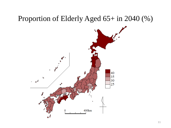#### Proportion of Elderly Aged 65+ in 2040 (%)

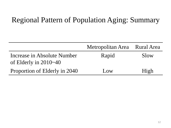#### Regional Pattern of Population Aging: Summary

|                               | Metropolitan Area Rural Area |      |
|-------------------------------|------------------------------|------|
| Increase in Absolute Number   | Rapid                        | Slow |
| of Elderly in $2010-40$       |                              |      |
| Proportion of Elderly in 2040 | Low                          | High |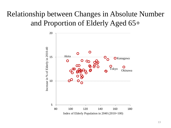# Relationship between Changes in Absolute Number and Proportion of Elderly Aged 65+

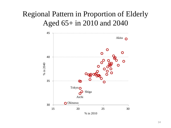### Regional Pattern in Proportion of Elderly Aged 65+ in 2010 and 2040

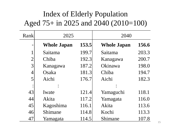# Index of Elderly Population Aged 75+ in 2025 and 2040 (2010=100)

| Rank           | 2025               |       | 2040               |       |
|----------------|--------------------|-------|--------------------|-------|
|                | <b>Whole Japan</b> | 153.5 | <b>Whole Japan</b> | 156.6 |
|                | Saitama            | 199.7 | Saitama            | 203.3 |
| $\overline{2}$ | Chiba              | 192.3 | Kanagawa           | 200.7 |
| 3              | Kanagawa           | 187.2 | Okinawa            | 198.0 |
| 4              | Osaka              | 181.3 | Chiba              | 194.7 |
| 5              | Aichi              | 176.7 | Aichi              | 182.3 |
|                |                    |       |                    |       |
| 43             | Iwate              | 121.4 | Yamaguchi          | 118.1 |
| 44             | Akita              | 117.2 | Yamagata           | 116.0 |
| 45             | Kagoshima          | 116.1 | Akita              | 113.6 |
| 46             | Shimane            | 114.8 | Kochi              | 113.3 |
| 47             | Yamagata           | 114.5 | Shimane            | 107.8 |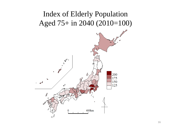## Index of Elderly Population Aged 75+ in 2040 (2010=100)

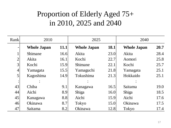# Proportion of Elderly Aged 75+ in 2010, 2025 and 2040

| Rank           | 2010               |      | 2025               |      | 2040               |      |
|----------------|--------------------|------|--------------------|------|--------------------|------|
|                | <b>Whole Japan</b> | 11.1 | <b>Whole Japan</b> | 18.1 | <b>Whole Japan</b> | 20.7 |
|                | Shimane            | 16.6 | Akita              | 23.0 | Akita              | 28.4 |
| $\overline{2}$ | Akita              | 16.1 | Kochi              | 22.7 | Aomori             | 25.8 |
| 3 <sub>1</sub> | Kochi              | 15.9 | Shimane            | 22.1 | Kochi              | 25.7 |
| $\overline{4}$ | Yamagata           | 15.5 | Yamaguchi          | 21.8 | Yamagata           | 25.1 |
| 5              | Kagoshima          | 14.9 | Tokushima          | 21.3 | Hokkaido           | 25.1 |
|                |                    |      |                    |      |                    |      |
| 43             | Chiba              | 9.1  | Kanagawa           | 16.5 | Saitama            | 19.0 |
| 44             | Aichi              | 8.9  | Shiga              | 16.0 | Shiga              | 18.5 |
| 45             | Kanagawa           | 8.8  | Aichi              | 15.9 | Aichi              | 17.6 |
| 46             | Okinawa            | 8.7  | Tokyo              | 15.0 | Okinawa            | 17.5 |
| 47             | Saitama            | 8.2  | Okinawa            | 12.8 | Tokyo              | 17.4 |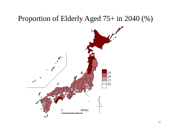#### Proportion of Elderly Aged 75+ in 2040 (%)

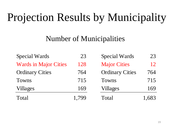# Projection Results by Municipality

## Number of Municipalities

| <b>Special Wards</b>         | 23    | <b>Special Wards</b>   | 23    |
|------------------------------|-------|------------------------|-------|
| <b>Wards in Major Cities</b> | 128   | <b>Major Cities</b>    | 12    |
| <b>Ordinary Cities</b>       | 764   | <b>Ordinary Cities</b> | 764   |
| Towns                        | 715   | Towns                  | 715   |
| Villages                     | 169   | <b>Villages</b>        | 169   |
| Total                        | 1,799 | Total                  | 1,683 |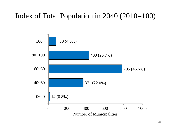## Index of Total Population in 2040 (2010=100)

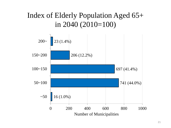### Index of Elderly Population Aged 65+ in 2040 (2010=100)

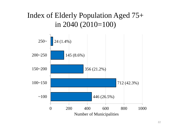### Index of Elderly Population Aged 75+ in 2040 (2010=100)

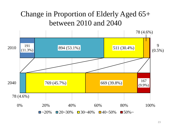## Change in Proportion of Elderly Aged 65+ between 2010 and 2040